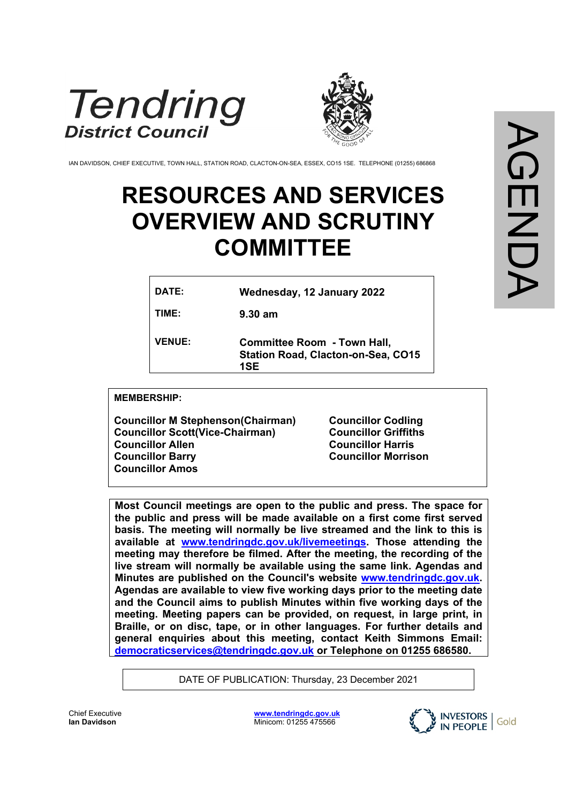



IAN DAVIDSON, CHIEF EXECUTIVE, TOWN HALL, STATION ROAD, CLACTON-ON-SEA, ESSEX, CO15 1SE. TELEPHONE (01255) 686868

# **RESOURCES AND SERVICES OVERVIEW AND SCRUTINY COMMITTEE**

| DATE:         | Wednesday, 12 January 2022                                                             |
|---------------|----------------------------------------------------------------------------------------|
| TIME:         | $9.30 \text{ am}$                                                                      |
| <b>VENUE:</b> | <b>Committee Room - Town Hall,</b><br><b>Station Road, Clacton-on-Sea, CO15</b><br>1SE |

**MEMBERSHIP:**

**Councillor M Stephenson(Chairman) Councillor Scott(Vice-Chairman) Councillor Allen Councillor Barry Councillor Amos**

**Councillor Codling Councillor Griffiths Councillor Harris Councillor Morrison**

**Most Council meetings are open to the public and press. The space for the public and press will be made available on a first come first served basis. The meeting will normally be live streamed and the link to this is available at [www.tendringdc.gov.uk/livemeetings.](http://www.tendringdc.gov.uk/livemeetings) Those attending the meeting may therefore be filmed. After the meeting, the recording of the live stream will normally be available using the same link. Agendas and Minutes are published on the Council's website [www.tendringdc.gov.uk.](http://www.tendringdc.gov.uk/) Agendas are available to view five working days prior to the meeting date and the Council aims to publish Minutes within five working days of the meeting. Meeting papers can be provided, on request, in large print, in Braille, or on disc, tape, or in other languages. For further details and general enquiries about this meeting, contact Keith Simmons Email: [democraticservices@tendringdc.gov.uk](mailto:democraticservices@tendringdc.gov.uk) or Telephone on 01255 686580.**

DATE OF PUBLICATION: Thursday, 23 December 2021

Chief Executive **Ian Davidson** 

**[www.tendringdc.gov.uk](http://www.tendringdc.gov.uk/)** Minicom: 01255 475566

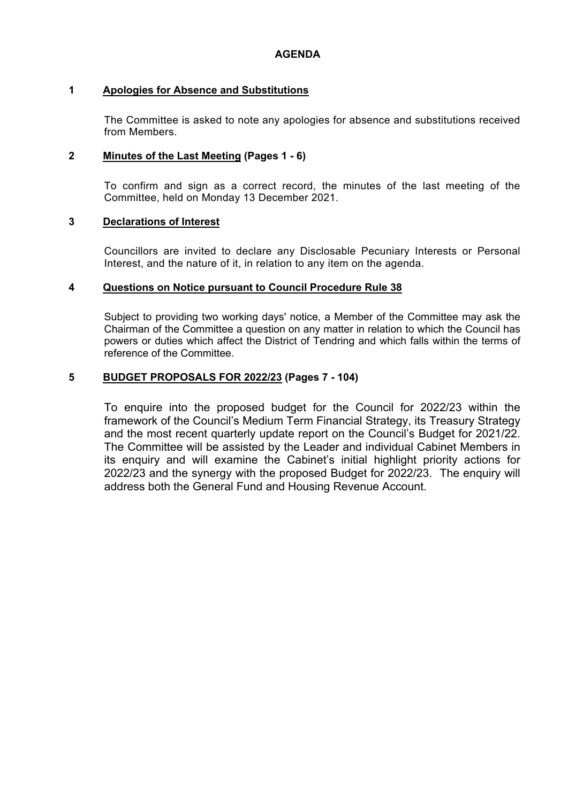#### **1 Apologies for Absence and Substitutions**

The Committee is asked to note any apologies for absence and substitutions received from Members.

#### **2 Minutes of the Last Meeting (Pages 1 - 6)**

To confirm and sign as a correct record, the minutes of the last meeting of the Committee, held on Monday 13 December 2021.

#### **3 Declarations of Interest**

Councillors are invited to declare any Disclosable Pecuniary Interests or Personal Interest, and the nature of it, in relation to any item on the agenda.

#### **4 Questions on Notice pursuant to Council Procedure Rule 38**

Subject to providing two working days' notice, a Member of the Committee may ask the Chairman of the Committee a question on any matter in relation to which the Council has powers or duties which affect the District of Tendring and which falls within the terms of reference of the Committee.

### **5 BUDGET PROPOSALS FOR 2022/23 (Pages 7 - 104)**

To enquire into the proposed budget for the Council for 2022/23 within the framework of the Council's Medium Term Financial Strategy, its Treasury Strategy and the most recent quarterly update report on the Council's Budget for 2021/22. The Committee will be assisted by the Leader and individual Cabinet Members in its enquiry and will examine the Cabinet's initial highlight priority actions for 2022/23 and the synergy with the proposed Budget for 2022/23. The enquiry will address both the General Fund and Housing Revenue Account.